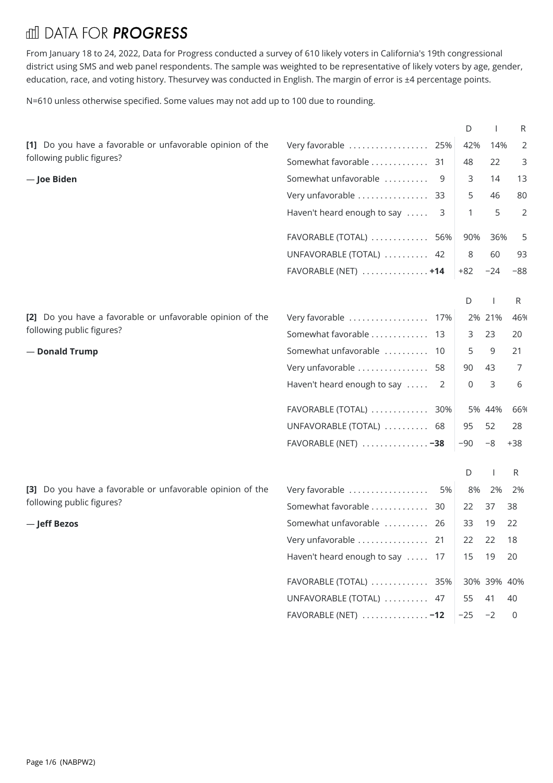## **III DATA FOR PROGRESS**

From January 18 to 24, 2022, Data for Progress conducted a survey of 610 likely voters in California's 19th congressional district using SMS and web panel respondents. The sample was weighted to be representative of likely voters by age, gender, education, race, and voting history. Thesurvey was conducted in English. The margin of error is ±4 percentage points.

N=610 unless otherwise specified. Some values may not add up to 100 due to rounding.

| [1] Do you have a favorable or unfavorable opinion of the<br>Very favorable  25%<br>42%<br>14%<br>2 |
|-----------------------------------------------------------------------------------------------------|
| following public figures?<br>Somewhat favorable  31<br>22<br>48<br>3                                |
| Somewhat unfavorable<br>3<br>14<br>- Joe Biden<br>9<br>13                                           |
| Very unfavorable  33<br>5<br>46<br>80                                                               |
| Haven't heard enough to say<br>5<br>2<br>1<br>3                                                     |
| 36%<br>5<br>FAVORABLE (TOTAL)  56%<br>90%                                                           |
| UNFAVORABLE (TOTAL)  42<br>8<br>60<br>93                                                            |
| FAVORABLE (NET) $\dots\dots\dots\dots\dots$<br>$+82$<br>$-24$<br>$-88$                              |
| D<br>R                                                                                              |
| [2] Do you have a favorable or unfavorable opinion of the<br>Very favorable  17%<br>2% 21%<br>46%   |
| following public figures?<br>Somewhat favorable  13<br>23<br>20<br>3                                |
| Somewhat unfavorable  10<br>9<br>21<br>- Donald Trump<br>5                                          |
| Very unfavorable  58<br>7<br>43<br>90                                                               |
| Haven't heard enough to say  2<br>3<br>6<br>0                                                       |
| FAVORABLE (TOTAL)  30%<br>5% 44%<br>66%                                                             |
| 52<br>UNFAVORABLE (TOTAL)  68<br>95<br>28                                                           |
| FAVORABLE (NET) $\ldots \ldots \ldots \ldots -38$<br>$-90$<br>$-8$<br>$+38$                         |
| R<br>D                                                                                              |
| [3] Do you have a favorable or unfavorable opinion of the<br>Very favorable<br>2%<br>5%<br>8%<br>2% |
| following public figures?<br>Somewhat favorable  30<br>38<br>22<br>37                               |
| Somewhat unfavorable  26<br>33<br>-Jeff Bezos<br>19<br>22                                           |
| Very unfavorable  21<br>22 22<br>18                                                                 |
| Haven't heard enough to say  17<br>15<br>19<br>20                                                   |
| FAVORABLE (TOTAL)  35%<br>30% 39% 40%                                                               |
| UNFAVORABLE (TOTAL)  47<br>41<br>55<br>40                                                           |
| FAVORABLE (NET) $\dots\dots\dots\dots\dots$<br>$-25 - 2$<br>$\overline{0}$                          |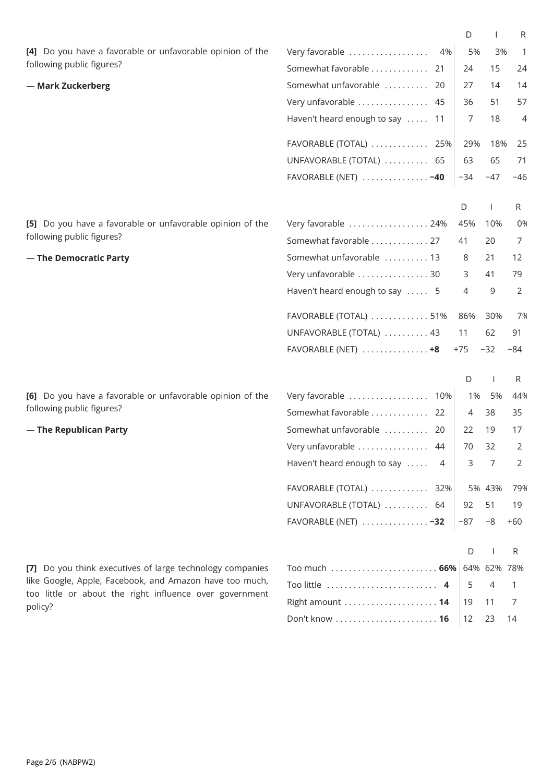|                                                                                                                    |                                                                                                                                             | D     |        | R              |
|--------------------------------------------------------------------------------------------------------------------|---------------------------------------------------------------------------------------------------------------------------------------------|-------|--------|----------------|
| [4] Do you have a favorable or unfavorable opinion of the                                                          | Very favorable<br>4%                                                                                                                        | 5%    | 3%     | -1             |
| following public figures?                                                                                          | Somewhat favorable  21                                                                                                                      | 24    | 15     | 24             |
| - Mark Zuckerberg                                                                                                  | Somewhat unfavorable  20                                                                                                                    | 27    | 14     | 14             |
|                                                                                                                    | Very unfavorable  45                                                                                                                        | 36    | 51     | 57             |
|                                                                                                                    | Haven't heard enough to say  11                                                                                                             | 7     | 18     | 4              |
|                                                                                                                    | FAVORABLE (TOTAL)  25%                                                                                                                      | 29%   | 18%    | 25             |
|                                                                                                                    | UNFAVORABLE (TOTAL)  65                                                                                                                     | 63    | 65     | 71             |
|                                                                                                                    | FAVORABLE (NET) $\ldots \ldots \ldots \ldots -40$                                                                                           | $-34$ | $-47$  | $-46$          |
|                                                                                                                    |                                                                                                                                             | D     |        | R              |
| [5] Do you have a favorable or unfavorable opinion of the                                                          | Very favorable  24%                                                                                                                         | 45%   | 10%    | 0%             |
| following public figures?                                                                                          | Somewhat favorable  27                                                                                                                      | 41    | 20     | 7              |
| - The Democratic Party                                                                                             | Somewhat unfavorable  13                                                                                                                    | 8     | 21     | 12             |
|                                                                                                                    | Very unfavorable  30                                                                                                                        | 3     | 41     | 79             |
|                                                                                                                    | Haven't heard enough to say  5                                                                                                              | 4     | 9      | $\overline{2}$ |
|                                                                                                                    | FAVORABLE (TOTAL)  51%                                                                                                                      | 86%   | 30%    | 7%             |
|                                                                                                                    | UNFAVORABLE (TOTAL)  43                                                                                                                     | 11    | 62     | 91             |
|                                                                                                                    | FAVORABLE (NET) $\ldots \ldots \ldots \ldots +8$                                                                                            | +75   | $-32$  | $-84$          |
|                                                                                                                    |                                                                                                                                             |       |        |                |
|                                                                                                                    |                                                                                                                                             |       |        | 44%            |
| following public figures?                                                                                          | R<br>D<br>[6] Do you have a favorable or unfavorable opinion of the<br>Very favorable  10%<br>5%<br>1%<br>Somewhat favorable  22<br>38<br>4 | 35    |        |                |
| - The Republican Party                                                                                             | Somewhat unfavorable  20                                                                                                                    | 22    | 19     | 17             |
|                                                                                                                    | Very unfavorable  44                                                                                                                        | 70    | 32     | 2              |
|                                                                                                                    | Haven't heard enough to say<br>4                                                                                                            | 3     | 7      | 2              |
|                                                                                                                    | FAVORABLE (TOTAL)  32%                                                                                                                      |       | 5% 43% | 79%            |
|                                                                                                                    | UNFAVORABLE (TOTAL)  64                                                                                                                     | 92    | 51     | 19             |
|                                                                                                                    | FAVORABLE (NET)  -32                                                                                                                        | $-87$ | $-8$   | $+60$          |
|                                                                                                                    |                                                                                                                                             |       |        |                |
|                                                                                                                    |                                                                                                                                             | D     |        | R              |
| [7] Do you think executives of large technology companies                                                          | Too much  66% 64% 62% 78%                                                                                                                   |       |        |                |
| like Google, Apple, Facebook, and Amazon have too much,<br>too little or about the right influence over government | Too little  4                                                                                                                               | 5     | 4      | 1              |
| policy?                                                                                                            | Right amount  14                                                                                                                            | 19    | 11     | 7              |
|                                                                                                                    | Don't know  16                                                                                                                              | 12    | 23     | 14             |
|                                                                                                                    |                                                                                                                                             |       |        |                |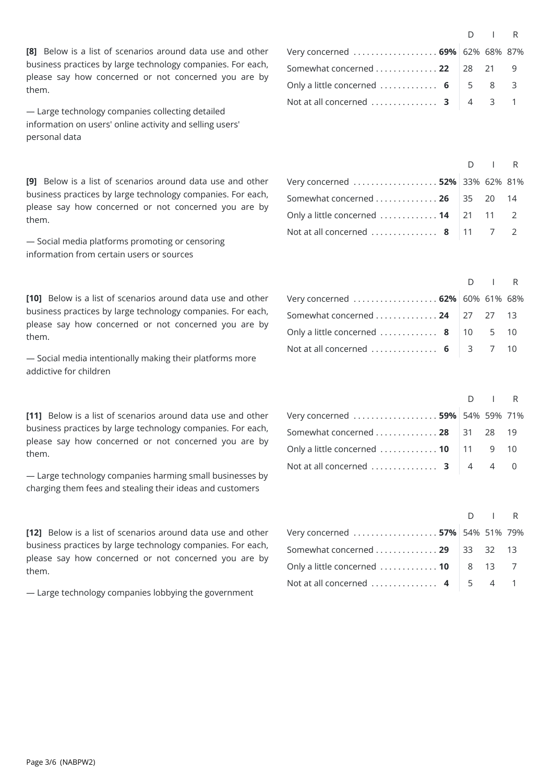**[8]** Below is a list of scenarios around data use and other business practices by large technology companies. For each, please say how concerned or not concerned you are by them.

— Large technology companies collecting detailed information on users' online activity and selling users' personal data

**[9]** Below is a list of scenarios around data use and other business practices by large technology companies. For each, please say how concerned or not concerned you are by them.

— Social media platforms promoting or censoring information from certain users or sources

**[10]** Below is a list of scenarios around data use and other business practices by large technology companies. For each, please say how concerned or not concerned you are by them.

— Social media intentionally making their platforms more addictive for children

**[11]** Below is a list of scenarios around data use and other business practices by large technology companies. For each, please say how concerned or not concerned you are by them.

— Large technology companies harming small businesses by charging them fees and stealing their ideas and customers

**[12]** Below is a list of scenarios around data use and other business practices by large technology companies. For each, please say how concerned or not concerned you are by them.

— Large technology companies lobbying the government

|                                                           | $D \cup R$ |  |
|-----------------------------------------------------------|------------|--|
| Very concerned  69% 62% 68% 87%                           |            |  |
| Somewhat concerned $\ldots \ldots \ldots \ldots$ 22 28 21 |            |  |
| Only a little concerned  6 $\vert$ 5 8 3                  |            |  |
| Not at all concerned 3 $\mid 4 \mid 3 \mid 1$             |            |  |

|                                                                  | $D \mid R$ |  |
|------------------------------------------------------------------|------------|--|
| Very concerned  52% 33% 62% 81%                                  |            |  |
| Somewhat concerned  26 35 20 14                                  |            |  |
| Only a little concerned $\ldots \ldots \ldots \ldots$ 14 21 11 2 |            |  |
| Not at all concerned  8   11 $\quad$ 7 $\quad$ 2                 |            |  |

|                                                | $D \cup R$ |  |
|------------------------------------------------|------------|--|
| Very concerned  62% 60% 61% 68%                |            |  |
| Somewhat concerned 24   27 27 13               |            |  |
| Only a little concerned  8   10 $\,$ 5 $\,$ 10 |            |  |
| Not at all concerned  6 3 7 10                 |            |  |

|                                                                    | $D \cup R$ |  |
|--------------------------------------------------------------------|------------|--|
| Very concerned  59% 54% 59% 71%                                    |            |  |
| Somewhat concerned 28 31 28 19                                     |            |  |
| Only a little concerned $\ldots \ldots \ldots \ldots$ 10   11 9 10 |            |  |
| Not at all concerned  3 $\begin{vmatrix} 4 & 4 & 0 \end{vmatrix}$  |            |  |

|                                                                   | $D \cup R$ |  |
|-------------------------------------------------------------------|------------|--|
| Very concerned  57% 54% 51% 79%                                   |            |  |
| Somewhat concerned  29 $ 33 \quad 32 \quad 13$                    |            |  |
| Only a little concerned $\ldots \ldots \ldots \ldots$ 10   8 13 7 |            |  |
| Not at all concerned $4 \mid 5 \mid 4 \mid 1$                     |            |  |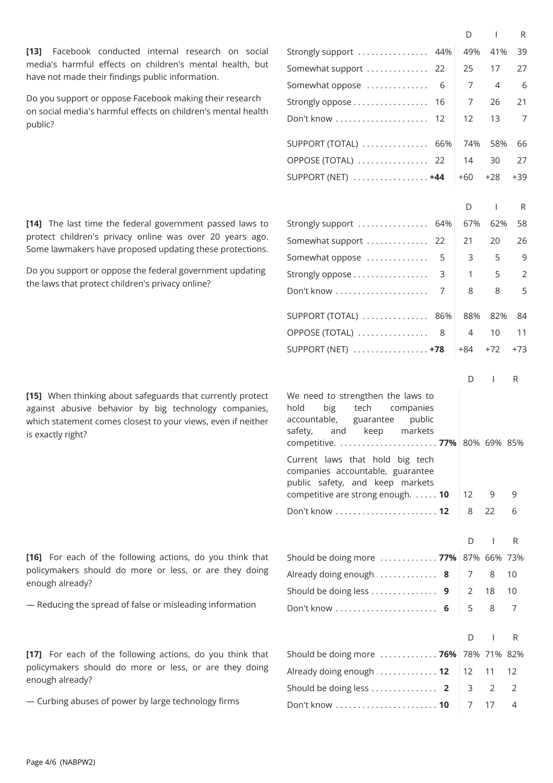**[13]** Facebook conducted internal research on social media's harmful effects on children's mental health, but have not made their findings public information.

Do you support or oppose Facebook making their research on social media's harmful effects on children's mental health public?

[14] The last time the federal government passed laws to protect children's privacy online was over 20 years ago. Some lawmakers have proposed updating these protections.

Do you support or oppose the federal government updating the laws that protect children's privacy online?

**[15]** When thinking about safeguards that currently protect against abusive behavior by big technology companies, which statement comes closest to your views, even if neither is exactly right?

**[16]** For each of the following actions, do you think that policymakers should do more or less, or are they doing enough already?

- Reducing the spread of false or misleading information

**[17]** For each of the following actions, do you think that policymakers should do more or less, or are they doing enough already?

— Curbing abuses of power by large technology firms

|                                                                                                                                                   |     | D   | $\mathbf{I}$   | R     |  |
|---------------------------------------------------------------------------------------------------------------------------------------------------|-----|-----|----------------|-------|--|
| Strongly support                                                                                                                                  | 44% | 49% | 41%            | 39    |  |
| Somewhat support<br>22                                                                                                                            |     | 25  | 17             | 27    |  |
| Somewhat oppose                                                                                                                                   | 6   | 7   | 4              | 6     |  |
| Strongly oppose<br>16                                                                                                                             |     | 7   | 26             | 21    |  |
| Don't know<br>12                                                                                                                                  |     | 12  | 13             | 7     |  |
| $\textsf{SUPPORT}$ (TOTAL) $\,\ldots\,\ldots\,\ldots\,\ldots\,\ldots\,$                                                                           | 66% | 74% | 58%            | 66    |  |
| OPPOSE (TOTAL)<br>22                                                                                                                              |     | 14  | 30             | 27    |  |
| SUPPORT (NET)  +44                                                                                                                                |     | +60 | +28            | $+39$ |  |
|                                                                                                                                                   |     | D   | $\mathbf{I}$   | R     |  |
| Strongly support  64%                                                                                                                             |     | 67% | 62%            | 58    |  |
| Somewhat support<br>22                                                                                                                            |     | 21  | 20             | 26    |  |
| Somewhat oppose                                                                                                                                   | 5   | 3   | 5              | 9     |  |
| Strongly oppose                                                                                                                                   | 3   | 1   | 5              | 2     |  |
| Don't know                                                                                                                                        | 7   | 8   | 8              | 5     |  |
| $\textsf{SUPPORT}$ (TOTAL) $\ldots \ldots \ldots \ldots$                                                                                          | 86% | 88% | 82%            | 84    |  |
| OPPOSE (TOTAL)                                                                                                                                    | 8   | 4   | 10             | 11    |  |
| SUPPORT (NET)  +78                                                                                                                                |     | +84 | $+72$          | $+73$ |  |
|                                                                                                                                                   |     | D   | I              | R.    |  |
| We need to strengthen the laws to<br>hold<br>tech<br>big<br>companies<br>accountable,<br>public<br>guarantee<br>markets<br>safety,<br>and<br>keep |     |     |                |       |  |
| Current laws that hold big tech<br>companies accountable, guarantee<br>public safety, and keep markets<br>competitive are strong enough. 10       |     | 12  | 9              | 9     |  |
| Don't know  12                                                                                                                                    |     |     |                | 6     |  |
|                                                                                                                                                   |     | 8   | 22             |       |  |
|                                                                                                                                                   |     | D   | $\overline{1}$ | R.    |  |
| Should be doing more  77%                                                                                                                         |     |     | 87% 66% 73%    |       |  |
| Already doing enough                                                                                                                              | 8   | 7   | 8              | 10    |  |
| Should be doing less                                                                                                                              | 9   | 2   | 18             | 10    |  |
|                                                                                                                                                   | 6   | 5   | 8              | 7     |  |
|                                                                                                                                                   |     | D   | I              | R     |  |
| Should be doing more  76%                                                                                                                         |     |     | 78% 71% 82%    |       |  |
| Already doing enough  12                                                                                                                          |     | 12  | 11             | 12    |  |
| Should be doing less  2                                                                                                                           |     | 3   | 2              | 2     |  |
| Don't know  10                                                                                                                                    |     | 7   | 17             | 4     |  |
|                                                                                                                                                   |     |     |                |       |  |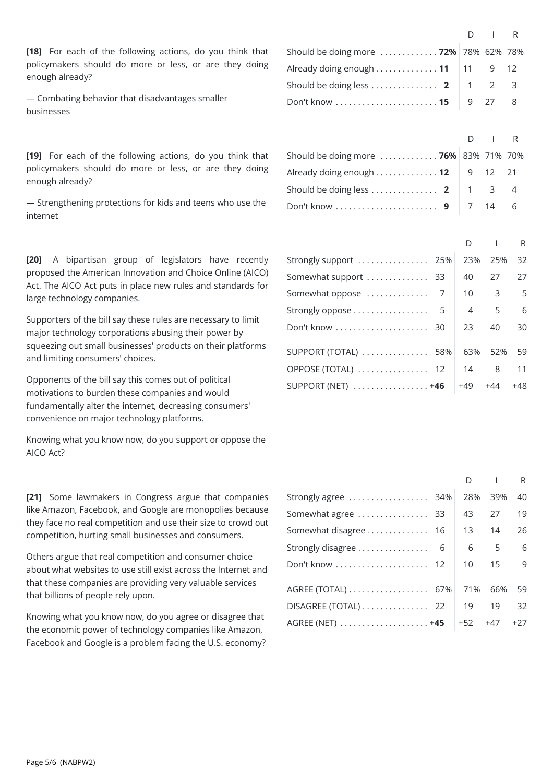**[18]** For each of the following actions, do you think that policymakers should do more or less, or are they doing enough already?

— Combating behavior that disadvantages smaller businesses

**[19]** For each of the following actions, do you think that policymakers should do more or less, or are they doing enough already?

— Strengthening protections for kids and teens who use the internet

**[20]** A bipartisan group of legislators have recently proposed the American Innovation and Choice Online (AICO) Act. The AICO Act puts in place new rules and standards for large technology companies.

Supporters of the bill say these rules are necessary to limit major technology corporations abusing their power by squeezing out small businesses' products on their platforms and limiting consumers' choices.

Opponents of the bill say this comes out of political motivations to burden these companies and would fundamentally alter the internet, decreasing consumers' convenience on major technology platforms.

Knowing what you know now, do you support or oppose the AICO Act?

**[21]** Some lawmakers in Congress argue that companies like Amazon, Facebook, and Google are monopolies because they face no real competition and use their size to crowd out competition, hurting small businesses and consumers.

Others argue that real competition and consumer choice about what websites to use still exist across the Internet and that these companies are providing very valuable services that billions of people rely upon.

Knowing what you know now, do you agree or disagree that the economic power of technology companies like Amazon, Facebook and Google is a problem facing the U.S. economy?

|                                                                   | $D \cup R$ |  |
|-------------------------------------------------------------------|------------|--|
| Should be doing more  72% 78% 62% 78%                             |            |  |
| Already doing enough $\ldots \ldots \ldots \ldots$ 11 11 9 12     |            |  |
| Should be doing less  2 $\begin{vmatrix} 1 & 2 & 3 \end{vmatrix}$ |            |  |
|                                                                   |            |  |

|                                       | $D \cup R$ |  |
|---------------------------------------|------------|--|
| Should be doing more  76% 83% 71% 70% |            |  |
| Already doing enough 12 9 12 21       |            |  |
| Should be doing less  2   1 3 4       |            |  |
|                                       |            |  |

|                            | D   |     | R   |  |
|----------------------------|-----|-----|-----|--|
| Strongly support  25%      | 23% | 25% | 32  |  |
| Somewhat support  33       | 40  | 27  | 27  |  |
|                            | 10  | 3   | 5   |  |
| Strongly oppose 5          | 4   | 5   | 6   |  |
| Don't know  30             | 23  | 40  | 30  |  |
| SUPPORT (TOTAL)  58%       | 63% | 52% | 59  |  |
| OPPOSE (TOTAL)  12         | 14  | 8   | 11  |  |
| SUPPORT (NET) $\ldots$ +46 | +49 | +44 | +48 |  |

|                       |  | D        |     | R     |  |
|-----------------------|--|----------|-----|-------|--|
| Strongly agree  34%   |  | 28%      | 39% | 40    |  |
| Somewhat agree  33    |  | 43       | 27  | 19    |  |
| Somewhat disagree  16 |  | 13       | 14  | 26    |  |
|                       |  | 6        | 5   | 6     |  |
|                       |  | $10^{-}$ | 15  | 9     |  |
| AGREE (TOTAL) 67%     |  | 71%      | 66% | 59    |  |
| DISAGREE (TOTAL)  22  |  | 19       | 19  | 32    |  |
|                       |  | +52      | +47 | $+27$ |  |